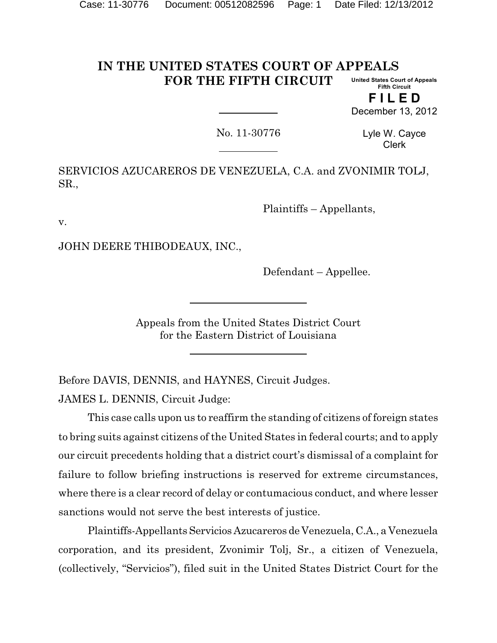#### **IN THE UNITED STATES COURT OF APPEALS FOR THE FIFTH CIRCUIT United States Court of Appeals Fifth Circuit**

**F I L E D** December 13, 2012

No. 11-30776

Lyle W. Cayce Clerk

SERVICIOS AZUCAREROS DE VENEZUELA, C.A. and ZVONIMIR TOLJ, SR.,

Plaintiffs – Appellants,

v.

JOHN DEERE THIBODEAUX, INC.,

Defendant – Appellee.

Appeals from the United States District Court for the Eastern District of Louisiana

Before DAVIS, DENNIS, and HAYNES, Circuit Judges. JAMES L. DENNIS, Circuit Judge:

This case calls upon us to reaffirm the standing of citizens of foreign states to bring suits against citizens of the United States in federal courts; and to apply our circuit precedents holding that a district court's dismissal of a complaint for failure to follow briefing instructions is reserved for extreme circumstances, where there is a clear record of delay or contumacious conduct, and where lesser sanctions would not serve the best interests of justice.

Plaintiffs-AppellantsServicios Azucareros de Venezuela, C.A., a Venezuela corporation, and its president, Zvonimir Tolj, Sr., a citizen of Venezuela, (collectively, "Servicios"), filed suit in the United States District Court for the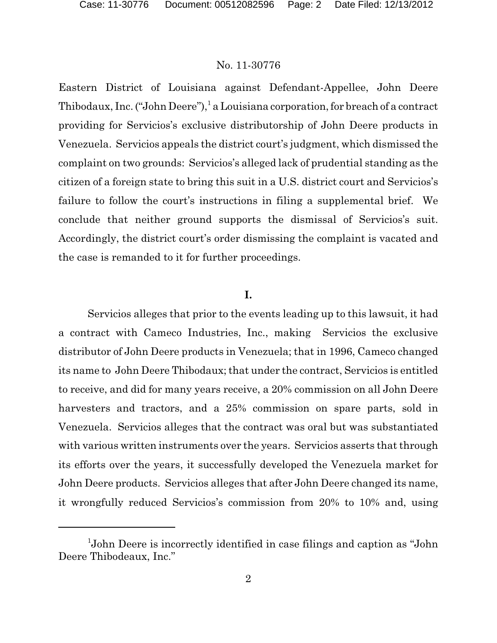Eastern District of Louisiana against Defendant-Appellee, John Deere Thibodaux, Inc. ("John Deere"),<sup>1</sup> a Louisiana corporation, for breach of a contract providing for Servicios's exclusive distributorship of John Deere products in Venezuela. Servicios appeals the district court's judgment, which dismissed the complaint on two grounds: Servicios's alleged lack of prudential standing as the citizen of a foreign state to bring this suit in a U.S. district court and Servicios's failure to follow the court's instructions in filing a supplemental brief. We conclude that neither ground supports the dismissal of Servicios's suit. Accordingly, the district court's order dismissing the complaint is vacated and the case is remanded to it for further proceedings.

### **I.**

Servicios alleges that prior to the events leading up to this lawsuit, it had a contract with Cameco Industries, Inc., making Servicios the exclusive distributor of John Deere products in Venezuela; that in 1996, Cameco changed its name to John Deere Thibodaux; that under the contract, Servicios is entitled to receive, and did for many years receive, a 20% commission on all John Deere harvesters and tractors, and a 25% commission on spare parts, sold in Venezuela. Servicios alleges that the contract was oral but was substantiated with various written instruments over the years. Servicios asserts that through its efforts over the years, it successfully developed the Venezuela market for John Deere products. Servicios alleges that after John Deere changed its name, it wrongfully reduced Servicios's commission from 20% to 10% and, using

 $1$ John Deere is incorrectly identified in case filings and caption as "John Deere Thibodeaux, Inc."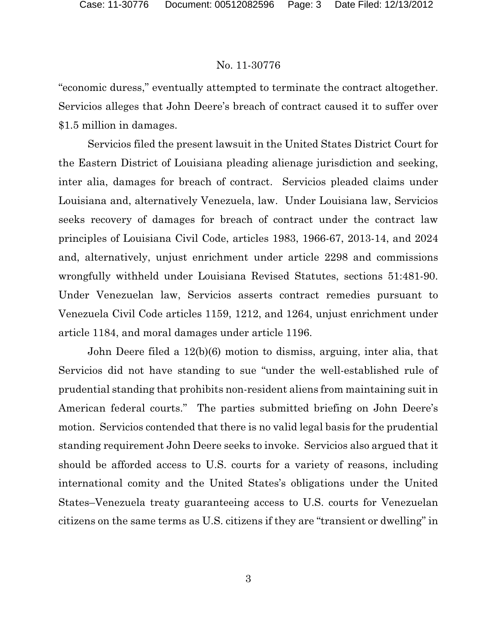"economic duress," eventually attempted to terminate the contract altogether. Servicios alleges that John Deere's breach of contract caused it to suffer over \$1.5 million in damages.

Servicios filed the present lawsuit in the United States District Court for the Eastern District of Louisiana pleading alienage jurisdiction and seeking, inter alia, damages for breach of contract. Servicios pleaded claims under Louisiana and, alternatively Venezuela, law. Under Louisiana law, Servicios seeks recovery of damages for breach of contract under the contract law principles of Louisiana Civil Code, articles 1983, 1966-67, 2013-14, and 2024 and, alternatively, unjust enrichment under article 2298 and commissions wrongfully withheld under Louisiana Revised Statutes, sections 51:481-90. Under Venezuelan law, Servicios asserts contract remedies pursuant to Venezuela Civil Code articles 1159, 1212, and 1264, unjust enrichment under article 1184, and moral damages under article 1196.

John Deere filed a 12(b)(6) motion to dismiss, arguing, inter alia, that Servicios did not have standing to sue "under the well-established rule of prudential standing that prohibits non-resident aliens from maintaining suit in American federal courts." The parties submitted briefing on John Deere's motion. Servicios contended that there is no valid legal basis for the prudential standing requirement John Deere seeks to invoke. Servicios also argued that it should be afforded access to U.S. courts for a variety of reasons, including international comity and the United States's obligations under the United States–Venezuela treaty guaranteeing access to U.S. courts for Venezuelan citizens on the same terms as U.S. citizens if they are "transient or dwelling" in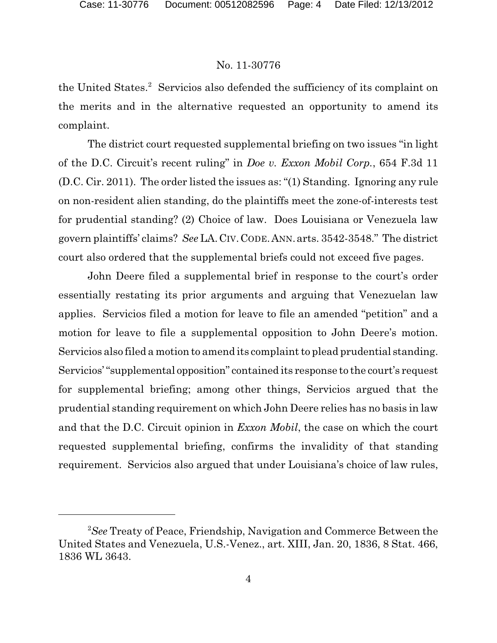the United States.<sup>2</sup> Servicios also defended the sufficiency of its complaint on the merits and in the alternative requested an opportunity to amend its complaint.

The district court requested supplemental briefing on two issues "in light of the D.C. Circuit's recent ruling" in *Doe v. Exxon Mobil Corp.*, 654 F.3d 11 (D.C. Cir. 2011). The order listed the issues as: "(1) Standing. Ignoring any rule on non-resident alien standing, do the plaintiffs meet the zone-of-interests test for prudential standing? (2) Choice of law. Does Louisiana or Venezuela law govern plaintiffs' claims? *See* LA.CIV.CODE.ANN.arts. 3542-3548." The district court also ordered that the supplemental briefs could not exceed five pages.

John Deere filed a supplemental brief in response to the court's order essentially restating its prior arguments and arguing that Venezuelan law applies. Servicios filed a motion for leave to file an amended "petition" and a motion for leave to file a supplemental opposition to John Deere's motion. Servicios also filed a motion to amend its complaint to plead prudential standing. Servicios' "supplemental opposition" contained its response to the court's request for supplemental briefing; among other things, Servicios argued that the prudential standing requirement on which John Deere relies has no basis in law and that the D.C. Circuit opinion in *Exxon Mobil*, the case on which the court requested supplemental briefing, confirms the invalidity of that standing requirement. Servicios also argued that under Louisiana's choice of law rules,

<sup>&</sup>lt;sup>2</sup>See Treaty of Peace, Friendship, Navigation and Commerce Between the United States and Venezuela, U.S.-Venez., art. XIII, Jan. 20, 1836, 8 Stat. 466, 1836 WL 3643.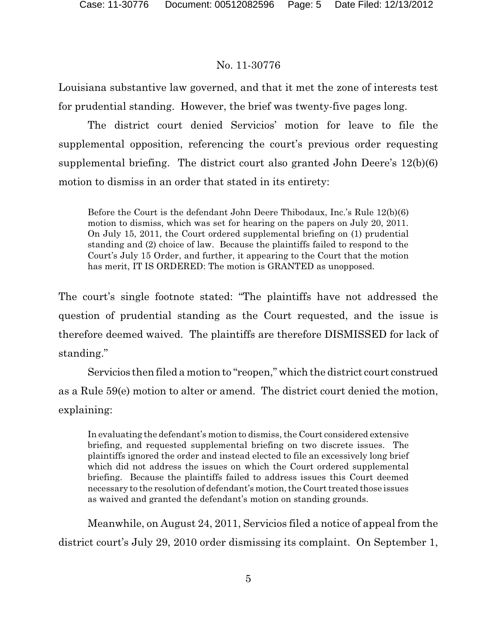Louisiana substantive law governed, and that it met the zone of interests test for prudential standing. However, the brief was twenty-five pages long.

The district court denied Servicios' motion for leave to file the supplemental opposition, referencing the court's previous order requesting supplemental briefing. The district court also granted John Deere's 12(b)(6) motion to dismiss in an order that stated in its entirety:

Before the Court is the defendant John Deere Thibodaux, Inc.'s Rule 12(b)(6) motion to dismiss, which was set for hearing on the papers on July 20, 2011. On July 15, 2011, the Court ordered supplemental briefing on (1) prudential standing and (2) choice of law. Because the plaintiffs failed to respond to the Court's July 15 Order, and further, it appearing to the Court that the motion has merit, IT IS ORDERED: The motion is GRANTED as unopposed.

The court's single footnote stated: "The plaintiffs have not addressed the question of prudential standing as the Court requested, and the issue is therefore deemed waived. The plaintiffs are therefore DISMISSED for lack of standing."

Servicios then filed a motion to "reopen," which the district court construed as a Rule 59(e) motion to alter or amend. The district court denied the motion, explaining:

In evaluating the defendant's motion to dismiss, the Court considered extensive briefing, and requested supplemental briefing on two discrete issues. The plaintiffs ignored the order and instead elected to file an excessively long brief which did not address the issues on which the Court ordered supplemental briefing. Because the plaintiffs failed to address issues this Court deemed necessary to the resolution of defendant's motion, the Court treated those issues as waived and granted the defendant's motion on standing grounds.

Meanwhile, on August 24, 2011, Servicios filed a notice of appeal from the district court's July 29, 2010 order dismissing its complaint. On September 1,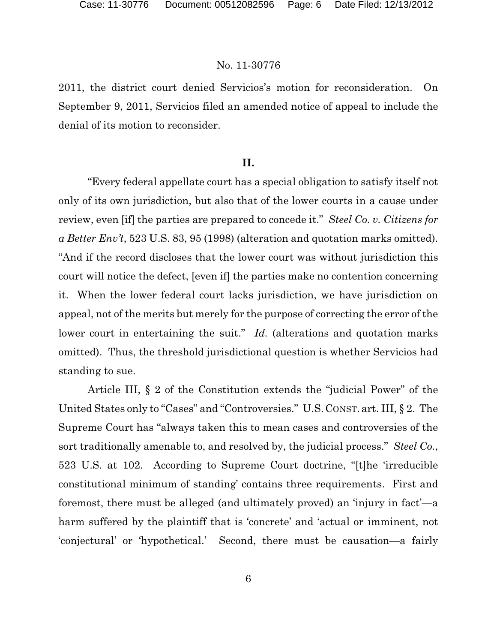2011, the district court denied Servicios's motion for reconsideration. On September 9, 2011, Servicios filed an amended notice of appeal to include the denial of its motion to reconsider.

# **II.**

"Every federal appellate court has a special obligation to satisfy itself not only of its own jurisdiction, but also that of the lower courts in a cause under review, even [if] the parties are prepared to concede it." *Steel Co. v. Citizens for a Better Env't*, 523 U.S. 83, 95 (1998) (alteration and quotation marks omitted). "And if the record discloses that the lower court was without jurisdiction this court will notice the defect, [even if] the parties make no contention concerning it. When the lower federal court lacks jurisdiction, we have jurisdiction on appeal, not of the merits but merely for the purpose of correcting the error of the lower court in entertaining the suit." *Id.* (alterations and quotation marks omitted). Thus, the threshold jurisdictional question is whether Servicios had standing to sue.

Article III, § 2 of the Constitution extends the "judicial Power" of the United States only to "Cases" and "Controversies." U.S. CONST. art. III, § 2. The Supreme Court has "always taken this to mean cases and controversies of the sort traditionally amenable to, and resolved by, the judicial process." *Steel Co.*, 523 U.S. at 102. According to Supreme Court doctrine, "[t]he 'irreducible constitutional minimum of standing' contains three requirements. First and foremost, there must be alleged (and ultimately proved) an 'injury in fact'—a harm suffered by the plaintiff that is 'concrete' and 'actual or imminent, not 'conjectural' or 'hypothetical.' Second, there must be causation—a fairly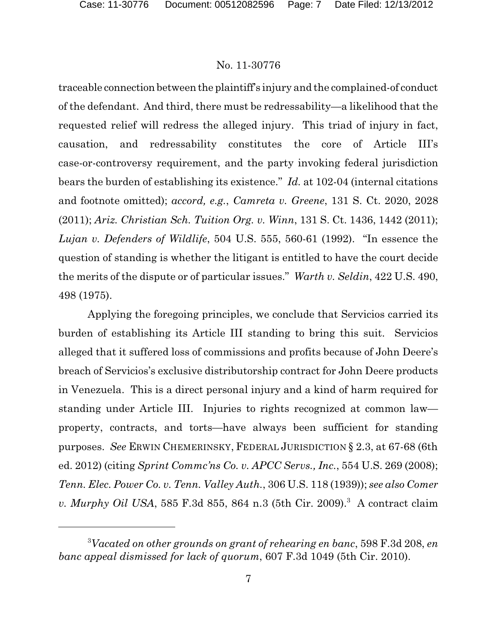traceable connection between the plaintiff's injury and the complained-of conduct of the defendant. And third, there must be redressability—a likelihood that the requested relief will redress the alleged injury. This triad of injury in fact, causation, and redressability constitutes the core of Article III's case-or-controversy requirement, and the party invoking federal jurisdiction bears the burden of establishing its existence." *Id.* at 102-04 (internal citations and footnote omitted); *accord, e.g.*, *Camreta v. Greene*, 131 S. Ct. 2020, 2028 (2011); *Ariz. Christian Sch. Tuition Org. v. Winn*, 131 S. Ct. 1436, 1442 (2011); *Lujan v. Defenders of Wildlife*, 504 U.S. 555, 560-61 (1992). "In essence the question of standing is whether the litigant is entitled to have the court decide the merits of the dispute or of particular issues." *Warth v. Seldin*, 422 U.S. 490, 498 (1975).

Applying the foregoing principles, we conclude that Servicios carried its burden of establishing its Article III standing to bring this suit. Servicios alleged that it suffered loss of commissions and profits because of John Deere's breach of Servicios's exclusive distributorship contract for John Deere products in Venezuela. This is a direct personal injury and a kind of harm required for standing under Article III. Injuries to rights recognized at common law property, contracts, and torts—have always been sufficient for standing purposes. *See* ERWIN CHEMERINSKY, FEDERAL JURISDICTION § 2.3, at 67-68 (6th ed. 2012) (citing *Sprint Commc'ns Co. v. APCC Servs., Inc.*, 554 U.S. 269 (2008); *Tenn. Elec. Power Co. v. Tenn. Valley Auth.*, 306 U.S. 118 (1939)); *see also Comer v. Murphy Oil USA*, 585 F.3d 855, 864 n.3 (5th Cir. 2009).<sup>3</sup> A contract claim

*Vacated on other grounds on grant of rehearing en banc*, 598 F.3d 208, *en* <sup>3</sup> *banc appeal dismissed for lack of quorum*, 607 F.3d 1049 (5th Cir. 2010).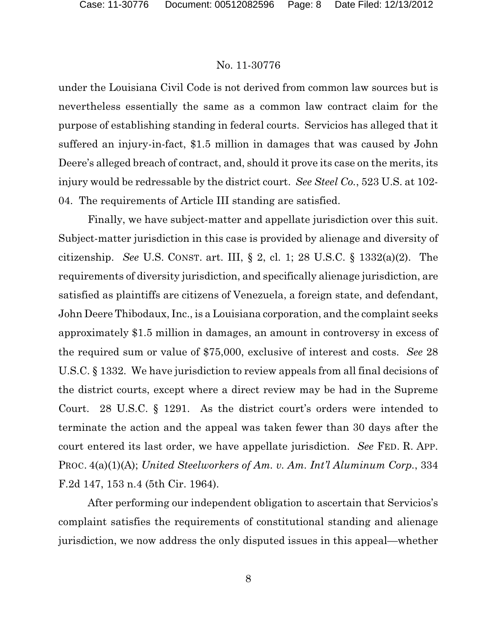under the Louisiana Civil Code is not derived from common law sources but is nevertheless essentially the same as a common law contract claim for the purpose of establishing standing in federal courts. Servicios has alleged that it suffered an injury-in-fact, \$1.5 million in damages that was caused by John Deere's alleged breach of contract, and, should it prove its case on the merits, its injury would be redressable by the district court. *See Steel Co.*, 523 U.S. at 102- 04. The requirements of Article III standing are satisfied.

Finally, we have subject-matter and appellate jurisdiction over this suit. Subject-matter jurisdiction in this case is provided by alienage and diversity of citizenship. *See* U.S. CONST. art. III, § 2, cl. 1; 28 U.S.C. § 1332(a)(2). The requirements of diversity jurisdiction, and specifically alienage jurisdiction, are satisfied as plaintiffs are citizens of Venezuela, a foreign state, and defendant, John Deere Thibodaux, Inc., is a Louisiana corporation, and the complaint seeks approximately \$1.5 million in damages, an amount in controversy in excess of the required sum or value of \$75,000, exclusive of interest and costs. *See* 28 U.S.C. § 1332. We have jurisdiction to review appeals from all final decisions of the district courts, except where a direct review may be had in the Supreme Court. 28 U.S.C. § 1291. As the district court's orders were intended to terminate the action and the appeal was taken fewer than 30 days after the court entered its last order, we have appellate jurisdiction. *See* FED. R. APP. PROC. 4(a)(1)(A); *United Steelworkers of Am. v. Am. Int'l Aluminum Corp.*, 334 F.2d 147, 153 n.4 (5th Cir. 1964).

After performing our independent obligation to ascertain that Servicios's complaint satisfies the requirements of constitutional standing and alienage jurisdiction, we now address the only disputed issues in this appeal—whether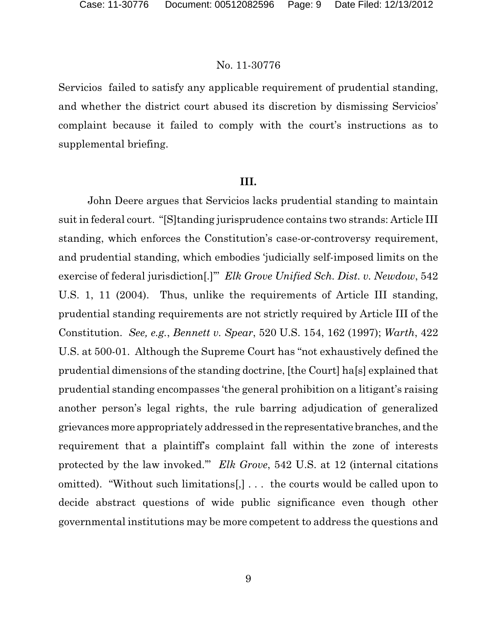Servicios failed to satisfy any applicable requirement of prudential standing, and whether the district court abused its discretion by dismissing Servicios' complaint because it failed to comply with the court's instructions as to supplemental briefing.

#### **III.**

John Deere argues that Servicios lacks prudential standing to maintain suit in federal court. "[S]tanding jurisprudence contains two strands: Article III standing, which enforces the Constitution's case-or-controversy requirement, and prudential standing, which embodies 'judicially self-imposed limits on the exercise of federal jurisdiction[.]'" *Elk Grove Unified Sch. Dist. v. Newdow*, 542 U.S. 1, 11 (2004). Thus, unlike the requirements of Article III standing, prudential standing requirements are not strictly required by Article III of the Constitution. *See, e.g.*, *Bennett v. Spear*, 520 U.S. 154, 162 (1997); *Warth*, 422 U.S. at 500-01. Although the Supreme Court has "not exhaustively defined the prudential dimensions of the standing doctrine, [the Court] ha[s] explained that prudential standing encompasses 'the general prohibition on a litigant's raising another person's legal rights, the rule barring adjudication of generalized grievances more appropriately addressed in the representative branches, and the requirement that a plaintiff's complaint fall within the zone of interests protected by the law invoked.'" *Elk Grove*, 542 U.S. at 12 (internal citations omitted). "Without such limitations[,] . . . the courts would be called upon to decide abstract questions of wide public significance even though other governmental institutions may be more competent to address the questions and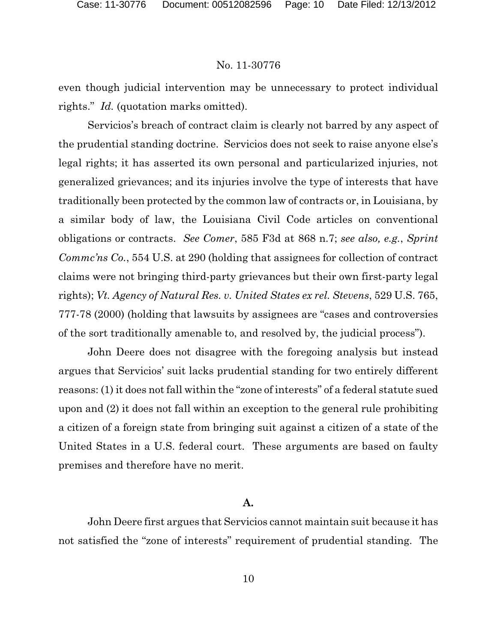even though judicial intervention may be unnecessary to protect individual rights." *Id.* (quotation marks omitted).

Servicios's breach of contract claim is clearly not barred by any aspect of the prudential standing doctrine. Servicios does not seek to raise anyone else's legal rights; it has asserted its own personal and particularized injuries, not generalized grievances; and its injuries involve the type of interests that have traditionally been protected by the common law of contracts or, in Louisiana, by a similar body of law, the Louisiana Civil Code articles on conventional obligations or contracts. *See Comer*, 585 F3d at 868 n.7; *see also, e.g.*, *Sprint Commc'ns Co.*, 554 U.S. at 290 (holding that assignees for collection of contract claims were not bringing third-party grievances but their own first-party legal rights); *Vt. Agency of Natural Res. v. United States ex rel. Stevens*, 529 U.S. 765, 777-78 (2000) (holding that lawsuits by assignees are "cases and controversies of the sort traditionally amenable to, and resolved by, the judicial process").

John Deere does not disagree with the foregoing analysis but instead argues that Servicios' suit lacks prudential standing for two entirely different reasons: (1) it does not fall within the "zone of interests" of a federal statute sued upon and (2) it does not fall within an exception to the general rule prohibiting a citizen of a foreign state from bringing suit against a citizen of a state of the United States in a U.S. federal court. These arguments are based on faulty premises and therefore have no merit.

### **A.**

John Deere first argues that Servicios cannot maintain suit because it has not satisfied the "zone of interests" requirement of prudential standing. The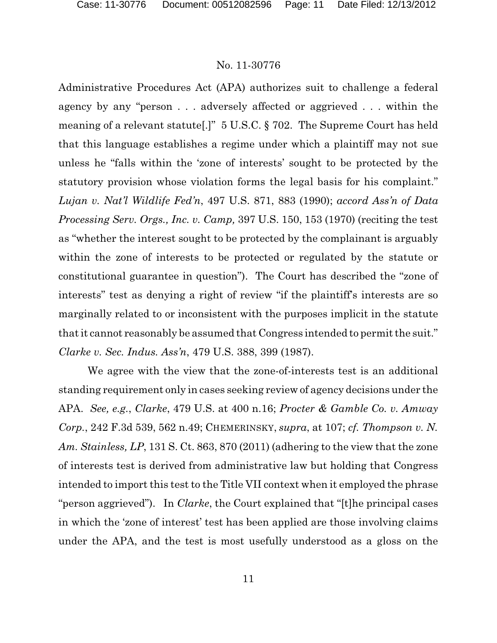Administrative Procedures Act (APA) authorizes suit to challenge a federal agency by any "person . . . adversely affected or aggrieved . . . within the meaning of a relevant statute[.]" 5 U.S.C. § 702. The Supreme Court has held that this language establishes a regime under which a plaintiff may not sue unless he "falls within the 'zone of interests' sought to be protected by the statutory provision whose violation forms the legal basis for his complaint." *Lujan v. Nat'l Wildlife Fed'n*, 497 U.S. 871, 883 (1990); *accord Ass'n of Data Processing Serv. Orgs., Inc. v. Camp,* 397 U.S. 150, 153 (1970) (reciting the test as "whether the interest sought to be protected by the complainant is arguably within the zone of interests to be protected or regulated by the statute or constitutional guarantee in question"). The Court has described the "zone of interests" test as denying a right of review "if the plaintiff's interests are so marginally related to or inconsistent with the purposes implicit in the statute that it cannot reasonably be assumed that Congress intended to permit the suit." *Clarke v. Sec. Indus. Ass'n*, 479 U.S. 388, 399 (1987).

We agree with the view that the zone-of-interests test is an additional standing requirement only in cases seeking review of agency decisions under the APA. *See, e.g.*, *Clarke*, 479 U.S. at 400 n.16; *Procter & Gamble Co. v. Amway Corp.*, 242 F.3d 539, 562 n.49; CHEMERINSKY, *supra*, at 107; *cf. Thompson v. N. Am. Stainless, LP*, 131 S. Ct. 863, 870 (2011) (adhering to the view that the zone of interests test is derived from administrative law but holding that Congress intended to import this test to the Title VII context when it employed the phrase "person aggrieved"). In *Clarke*, the Court explained that "[t]he principal cases in which the 'zone of interest' test has been applied are those involving claims under the APA, and the test is most usefully understood as a gloss on the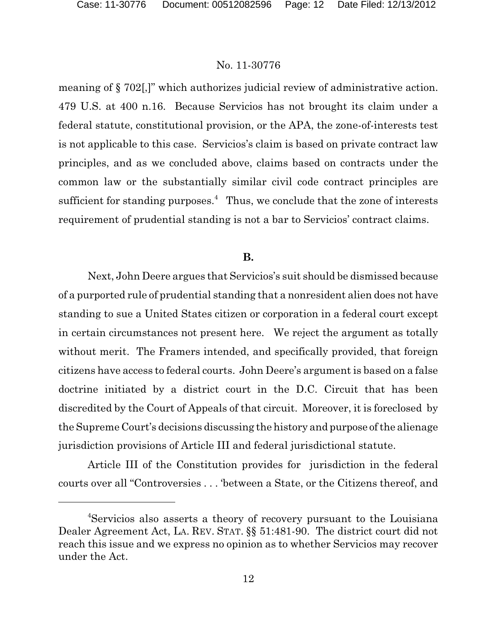meaning of § 702[,]" which authorizes judicial review of administrative action. 479 U.S. at 400 n.16. Because Servicios has not brought its claim under a federal statute, constitutional provision, or the APA, the zone-of-interests test is not applicable to this case. Servicios's claim is based on private contract law principles, and as we concluded above, claims based on contracts under the common law or the substantially similar civil code contract principles are sufficient for standing purposes.<sup> $4$ </sup> Thus, we conclude that the zone of interests requirement of prudential standing is not a bar to Servicios' contract claims.

# **B.**

Next, John Deere argues that Servicios's suit should be dismissed because of a purported rule of prudential standing that a nonresident alien does not have standing to sue a United States citizen or corporation in a federal court except in certain circumstances not present here. We reject the argument as totally without merit. The Framers intended, and specifically provided, that foreign citizens have access to federal courts. John Deere's argument is based on a false doctrine initiated by a district court in the D.C. Circuit that has been discredited by the Court of Appeals of that circuit. Moreover, it is foreclosed by the Supreme Court's decisions discussing the history and purpose ofthe alienage jurisdiction provisions of Article III and federal jurisdictional statute.

Article III of the Constitution provides for jurisdiction in the federal courts over all "Controversies . . . 'between a State, or the Citizens thereof, and

Servicios also asserts a theory of recovery pursuant to the Louisiana <sup>4</sup> Dealer Agreement Act, LA. REV. STAT. §§ 51:481-90. The district court did not reach this issue and we express no opinion as to whether Servicios may recover under the Act.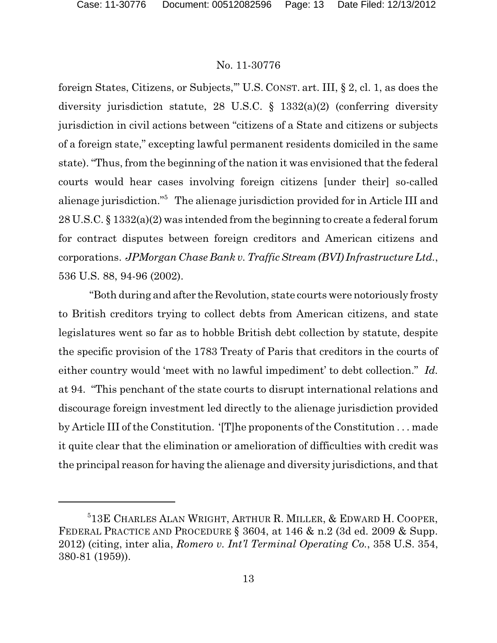foreign States, Citizens, or Subjects,'" U.S. CONST. art. III, § 2, cl. 1, as does the diversity jurisdiction statute, 28 U.S.C. § 1332(a)(2) (conferring diversity jurisdiction in civil actions between "citizens of a State and citizens or subjects of a foreign state," excepting lawful permanent residents domiciled in the same state). "Thus, from the beginning of the nation it was envisioned that the federal courts would hear cases involving foreign citizens [under their] so-called alienage jurisdiction."<sup>5</sup> The alienage jurisdiction provided for in Article III and 28 U.S.C. § 1332(a)(2) was intended from the beginning to create a federal forum for contract disputes between foreign creditors and American citizens and corporations. *JPMorgan Chase Bank v. TrafficStream (BVI) Infrastructure Ltd.*, 536 U.S. 88, 94-96 (2002).

"Both during and after the Revolution, state courts were notoriously frosty to British creditors trying to collect debts from American citizens, and state legislatures went so far as to hobble British debt collection by statute, despite the specific provision of the 1783 Treaty of Paris that creditors in the courts of either country would 'meet with no lawful impediment' to debt collection." *Id.* at 94. "This penchant of the state courts to disrupt international relations and discourage foreign investment led directly to the alienage jurisdiction provided by Article III of the Constitution. '[T]he proponents of the Constitution . . . made it quite clear that the elimination or amelioration of difficulties with credit was the principal reason for having the alienage and diversity jurisdictions, and that

<sup>&</sup>lt;sup>5</sup>13E CHARLES ALAN WRIGHT, ARTHUR R. MILLER, & EDWARD H. COOPER, FEDERAL PRACTICE AND PROCEDURE § 3604, at 146 & n.2 (3d ed. 2009 & Supp. 2012) (citing, inter alia, *Romero v. Int'l Terminal Operating Co.*, 358 U.S. 354, 380-81 (1959)).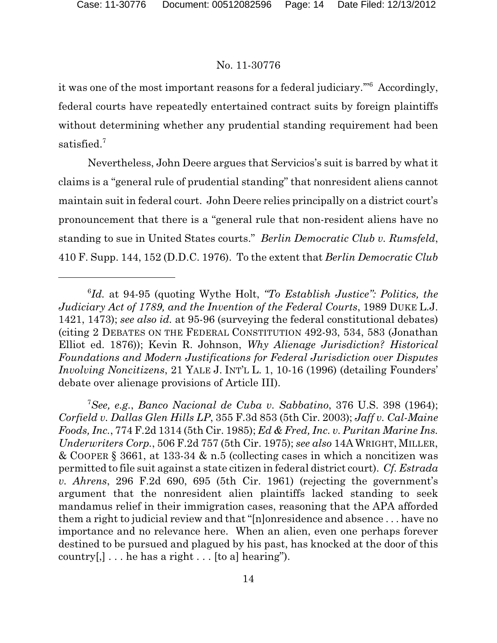it was one of the most important reasons for a federal judiciary."<sup>6</sup> Accordingly, federal courts have repeatedly entertained contract suits by foreign plaintiffs without determining whether any prudential standing requirement had been satisfied.<sup>7</sup>

Nevertheless, John Deere argues that Servicios's suit is barred by what it claims is a "general rule of prudential standing" that nonresident aliens cannot maintain suit in federal court. John Deere relies principally on a district court's pronouncement that there is a "general rule that non-resident aliens have no standing to sue in United States courts." *Berlin Democratic Club v. Rumsfeld*, 410 F. Supp. 144, 152 (D.D.C. 1976). To the extent that *Berlin Democratic Club*

*See, e.g.*, *Banco Nacional de Cuba v. Sabbatino*, 376 U.S. 398 (1964); <sup>7</sup> *Corfield v. Dallas Glen Hills LP*, 355 F.3d 853 (5th Cir. 2003); *Jaff v. Cal-Maine Foods, Inc.*, 774 F.2d 1314 (5th Cir. 1985); *Ed & Fred, Inc. v. Puritan Marine Ins. Underwriters Corp.*, 506 F.2d 757 (5th Cir. 1975); *see also* 14AWRIGHT, MILLER, & COOPER § 3661, at 133-34 & n.5 (collecting cases in which a noncitizen was permitted to file suit against a state citizen in federal district court). *Cf. Estrada v. Ahrens*, 296 F.2d 690, 695 (5th Cir. 1961) (rejecting the government's argument that the nonresident alien plaintiffs lacked standing to seek mandamus relief in their immigration cases, reasoning that the APA afforded them a right to judicial review and that "[n]onresidence and absence . . . have no importance and no relevance here. When an alien, even one perhaps forever destined to be pursued and plagued by his past, has knocked at the door of this country $[,$ ]... he has a right... [to a] hearing").

<sup>&</sup>lt;sup>6</sup>Id. at 94-95 (quoting Wythe Holt, "To Establish Justice": Politics, the *Judiciary Act of 1789, and the Invention of the Federal Courts*, 1989 DUKE L.J. 1421, 1473); *see also id.* at 95-96 (surveying the federal constitutional debates) (citing 2 DEBATES ON THE FEDERAL CONSTITUTION 492-93, 534, 583 (Jonathan Elliot ed. 1876)); Kevin R. Johnson, *Why Alienage Jurisdiction? Historical Foundations and Modern Justifications for Federal Jurisdiction over Disputes Involving Noncitizens*, 21 YALE J. INT'L L. 1, 10-16 (1996) (detailing Founders' debate over alienage provisions of Article III).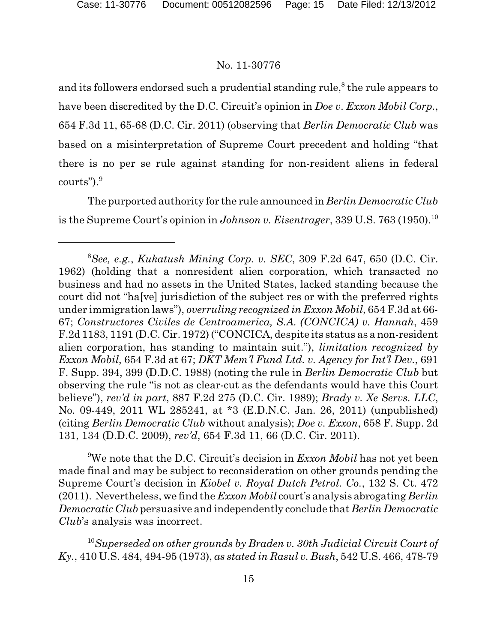and its followers endorsed such a prudential standing rule,<sup>8</sup> the rule appears to have been discredited by the D.C. Circuit's opinion in *Doe v*. *Exxon Mobil Corp.*, 654 F.3d 11, 65-68 (D.C. Cir. 2011) (observing that *Berlin Democratic Club* was based on a misinterpretation of Supreme Court precedent and holding "that there is no per se rule against standing for non-resident aliens in federal courts"). 9

The purported authority for the rule announced in *Berlin Democratic Club* is the Supreme Court's opinion in *Johnson v. Eisentrager*, 339 U.S. 763 (1950).<sup>10</sup>

<sup>9</sup>We note that the D.C. Circuit's decision in *Exxon Mobil* has not yet been made final and may be subject to reconsideration on other grounds pending the Supreme Court's decision in *Kiobel v. Royal Dutch Petrol. Co.*, 132 S. Ct. 472 (2011). Nevertheless, we find the *Exxon Mobil* court's analysis abrogating *Berlin Democratic Club* persuasive and independently conclude that *Berlin Democratic Club*'s analysis was incorrect.

<sup>10</sup>Superseded on other grounds by Braden v. 30th Judicial Circuit Court of *Ky.*, 410 U.S. 484, 494-95 (1973), *as stated in Rasul v. Bush*, 542 U.S. 466, 478-79

*See, e.g.*, *Kukatush Mining Corp. v. SEC*, 309 F.2d 647, 650 (D.C. Cir. <sup>8</sup> 1962) (holding that a nonresident alien corporation, which transacted no business and had no assets in the United States, lacked standing because the court did not "ha[ve] jurisdiction of the subject res or with the preferred rights under immigration laws"), *overruling recognized in Exxon Mobil*, 654 F.3d at 66- 67; *Constructores Civiles de Centroamerica, S.A. (CONCICA) v. Hannah*, 459 F.2d 1183, 1191 (D.C. Cir. 1972) ("CONCICA, despite its status as a non-resident alien corporation, has standing to maintain suit."), *limitation recognized by Exxon Mobil*, 654 F.3d at 67; *DKT Mem'l Fund Ltd. v. Agency for Int'l Dev.*, 691 F. Supp. 394, 399 (D.D.C. 1988) (noting the rule in *Berlin Democratic Club* but observing the rule "is not as clear-cut as the defendants would have this Court believe"), *rev'd in part*, 887 F.2d 275 (D.C. Cir. 1989); *Brady v. Xe Servs. LLC*, No. 09-449, 2011 WL 285241, at \*3 (E.D.N.C. Jan. 26, 2011) (unpublished) (citing *Berlin Democratic Club* without analysis); *Doe v. Exxon*, 658 F. Supp. 2d 131, 134 (D.D.C. 2009), *rev'd*, 654 F.3d 11, 66 (D.C. Cir. 2011).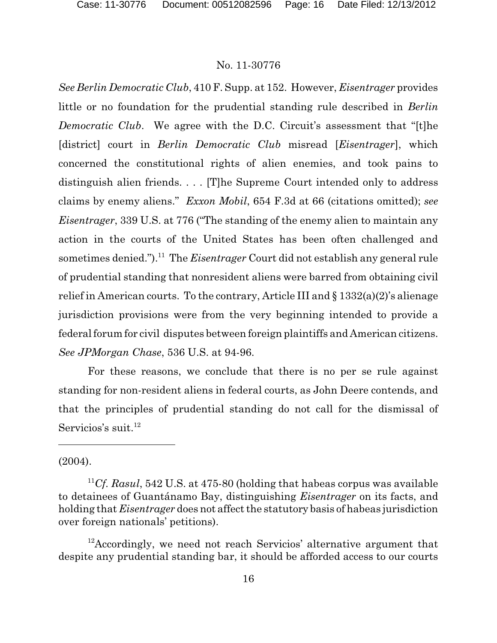*See Berlin Democratic Club*, 410 F. Supp. at 152. However, *Eisentrager* provides little or no foundation for the prudential standing rule described in *Berlin Democratic Club*. We agree with the D.C. Circuit's assessment that "[t]he [district] court in *Berlin Democratic Club* misread [*Eisentrager*], which concerned the constitutional rights of alien enemies, and took pains to distinguish alien friends. . . . [T]he Supreme Court intended only to address claims by enemy aliens." *Exxon Mobil*, 654 F.3d at 66 (citations omitted); *see Eisentrager*, 339 U.S. at 776 ("The standing of the enemy alien to maintain any action in the courts of the United States has been often challenged and sometimes denied.").<sup>11</sup> The *Eisentrager* Court did not establish any general rule of prudential standing that nonresident aliens were barred from obtaining civil relief in American courts. To the contrary, Article III and § 1332(a)(2)'s alienage jurisdiction provisions were from the very beginning intended to provide a federal forum for civil disputes between foreign plaintiffs and American citizens. *See JPMorgan Chase*, 536 U.S. at 94-96.

For these reasons, we conclude that there is no per se rule against standing for non-resident aliens in federal courts, as John Deere contends, and that the principles of prudential standing do not call for the dismissal of Servicios's suit.<sup>12</sup>

(2004).

 $12$ Accordingly, we need not reach Servicios' alternative argument that despite any prudential standing bar, it should be afforded access to our courts

<sup>&</sup>lt;sup>11</sup>Cf. Rasul, 542 U.S. at 475-80 (holding that habeas corpus was available to detainees of Guantánamo Bay, distinguishing *Eisentrager* on its facts, and holding that *Eisentrager* does not affect the statutory basis of habeas jurisdiction over foreign nationals' petitions).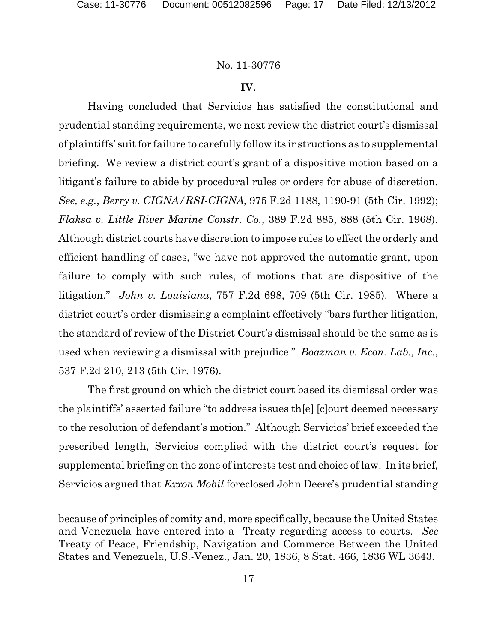# **IV.**

Having concluded that Servicios has satisfied the constitutional and prudential standing requirements, we next review the district court's dismissal of plaintiffs' suit for failure to carefully follow its instructions as to supplemental briefing. We review a district court's grant of a dispositive motion based on a litigant's failure to abide by procedural rules or orders for abuse of discretion. *See, e.g.*, *Berry v. CIGNA/RSI-CIGNA*, 975 F.2d 1188, 1190-91 (5th Cir. 1992); *Flaksa v. Little River Marine Constr. Co.*, 389 F.2d 885, 888 (5th Cir. 1968). Although district courts have discretion to impose rules to effect the orderly and efficient handling of cases, "we have not approved the automatic grant, upon failure to comply with such rules, of motions that are dispositive of the litigation." *John v. Louisiana*, 757 F.2d 698, 709 (5th Cir. 1985). Where a district court's order dismissing a complaint effectively "bars further litigation, the standard of review of the District Court's dismissal should be the same as is used when reviewing a dismissal with prejudice." *Boazman v. Econ. Lab., Inc.*, 537 F.2d 210, 213 (5th Cir. 1976).

The first ground on which the district court based its dismissal order was the plaintiffs' asserted failure "to address issues th[e] [c]ourt deemed necessary to the resolution of defendant's motion." Although Servicios' brief exceeded the prescribed length, Servicios complied with the district court's request for supplemental briefing on the zone of interests test and choice of law. In its brief, Servicios argued that *Exxon Mobil* foreclosed John Deere's prudential standing

because of principles of comity and, more specifically, because the United States and Venezuela have entered into a Treaty regarding access to courts. *See* Treaty of Peace, Friendship, Navigation and Commerce Between the United States and Venezuela, U.S.-Venez., Jan. 20, 1836, 8 Stat. 466, 1836 WL 3643.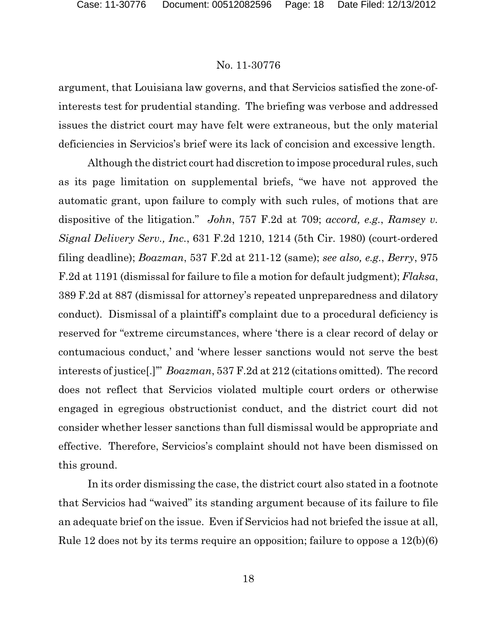argument, that Louisiana law governs, and that Servicios satisfied the zone-ofinterests test for prudential standing. The briefing was verbose and addressed issues the district court may have felt were extraneous, but the only material deficiencies in Servicios's brief were its lack of concision and excessive length.

Although the district court had discretion to impose procedural rules, such as its page limitation on supplemental briefs, "we have not approved the automatic grant, upon failure to comply with such rules, of motions that are dispositive of the litigation." *John*, 757 F.2d at 709; *accord, e.g.*, *Ramsey v. Signal Delivery Serv., Inc.*, 631 F.2d 1210, 1214 (5th Cir. 1980) (court-ordered filing deadline); *Boazman*, 537 F.2d at 211-12 (same); *see also, e.g.*, *Berry*, 975 F.2d at 1191 (dismissal for failure to file a motion for default judgment); *Flaksa*, 389 F.2d at 887 (dismissal for attorney's repeated unpreparedness and dilatory conduct). Dismissal of a plaintiff's complaint due to a procedural deficiency is reserved for "extreme circumstances, where 'there is a clear record of delay or contumacious conduct,' and 'where lesser sanctions would not serve the best interests of justice[.]'" *Boazman*, 537 F.2d at 212 (citations omitted). The record does not reflect that Servicios violated multiple court orders or otherwise engaged in egregious obstructionist conduct, and the district court did not consider whether lesser sanctions than full dismissal would be appropriate and effective. Therefore, Servicios's complaint should not have been dismissed on this ground.

In its order dismissing the case, the district court also stated in a footnote that Servicios had "waived" its standing argument because of its failure to file an adequate brief on the issue. Even if Servicios had not briefed the issue at all, Rule 12 does not by its terms require an opposition; failure to oppose a 12(b)(6)